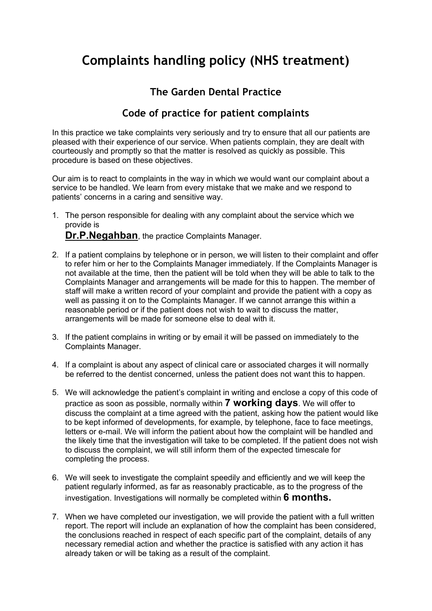## **Complaints handling policy (NHS treatment)**

## **The Garden Dental Practice**

## **Code of practice for patient complaints**

In this practice we take complaints very seriously and try to ensure that all our patients are pleased with their experience of our service. When patients complain, they are dealt with courteously and promptly so that the matter is resolved as quickly as possible. This procedure is based on these objectives.

Our aim is to react to complaints in the way in which we would want our complaint about a service to be handled. We learn from every mistake that we make and we respond to patients' concerns in a caring and sensitive way.

- 1. The person responsible for dealing with any complaint about the service which we provide is **Dr.P.Negahban**, the practice Complaints Manager.
- 2. If a patient complains by telephone or in person, we will listen to their complaint and offer to refer him or her to the Complaints Manager immediately. If the Complaints Manager is not available at the time, then the patient will be told when they will be able to talk to the Complaints Manager and arrangements will be made for this to happen. The member of staff will make a written record of your complaint and provide the patient with a copy as well as passing it on to the Complaints Manager. If we cannot arrange this within a reasonable period or if the patient does not wish to wait to discuss the matter, arrangements will be made for someone else to deal with it.
- 3. If the patient complains in writing or by email it will be passed on immediately to the Complaints Manager.
- 4. If a complaint is about any aspect of clinical care or associated charges it will normally be referred to the dentist concerned, unless the patient does not want this to happen.
- 5. We will acknowledge the patient's complaint in writing and enclose a copy of this code of practice as soon as possible, normally within **7 working days**. We will offer to discuss the complaint at a time agreed with the patient, asking how the patient would like to be kept informed of developments, for example, by telephone, face to face meetings, letters or e-mail. We will inform the patient about how the complaint will be handled and the likely time that the investigation will take to be completed. If the patient does not wish to discuss the complaint, we will still inform them of the expected timescale for completing the process.
- 6. We will seek to investigate the complaint speedily and efficiently and we will keep the patient regularly informed, as far as reasonably practicable, as to the progress of the investigation. Investigations will normally be completed within **6 months.**
- 7. When we have completed our investigation, we will provide the patient with a full written report. The report will include an explanation of how the complaint has been considered, the conclusions reached in respect of each specific part of the complaint, details of any necessary remedial action and whether the practice is satisfied with any action it has already taken or will be taking as a result of the complaint.